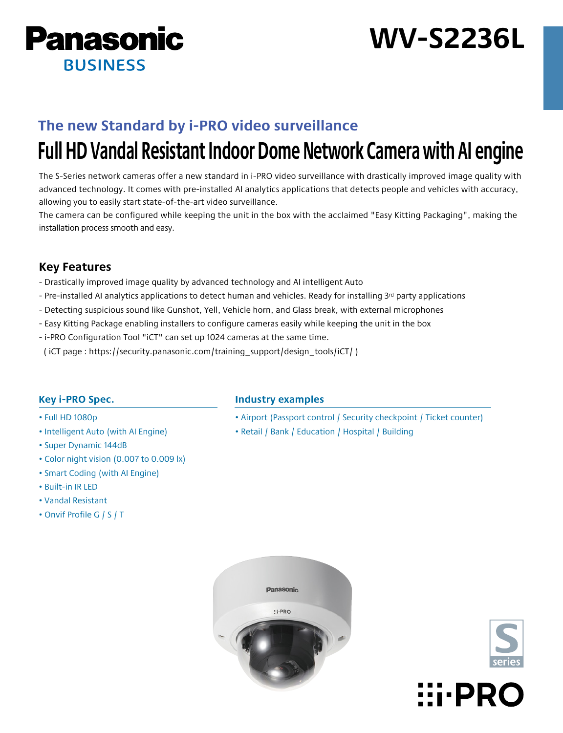

# **WV-S2236L**

## **The new Standard by i-PRO video surveillance**

# **Full HD Vandal Resistant Indoor Dome Network Camera with AI engine**

The S-Series network cameras offer a new standard in i-PRO video surveillance with drastically improved image quality with advanced technology. It comes with pre-installed AI analytics applications that detects people and vehicles with accuracy, allowing you to easily start state-of-the-art video surveillance.

The camera can be configured while keeping the unit in the box with the acclaimed "Easy Kitting Packaging", making the installation process smooth and easy.

## **Key Features**

- Drastically improved image quality by advanced technology and AI intelligent Auto
- Pre-installed AI analytics applications to detect human and vehicles. Ready for installing 3<sup>rd</sup> party applications
- Detecting suspicious sound like Gunshot, Yell, Vehicle horn, and Glass break, with external microphones
- Easy Kitting Package enabling installers to configure cameras easily while keeping the unit in the box
- i-PRO Configuration Tool "iCT" can set up 1024 cameras at the same time.
- ( iCT page : https://security.panasonic.com/training\_support/design\_tools/iCT/ )

## **Key i-PRO Spec.**

- Full HD 1080p
- Intelligent Auto (with AI Engine)
- Super Dynamic 144dB
- Color night vision (0.007 to 0.009 lx)
- Smart Coding (with AI Engine)
- Built-in IR LED
- Vandal Resistant
- Onvif Profile G / S / T

## **Industry examples**

- Airport (Passport control / Security checkpoint / Ticket counter)
- Retail / Bank / Education / Hospital / Building





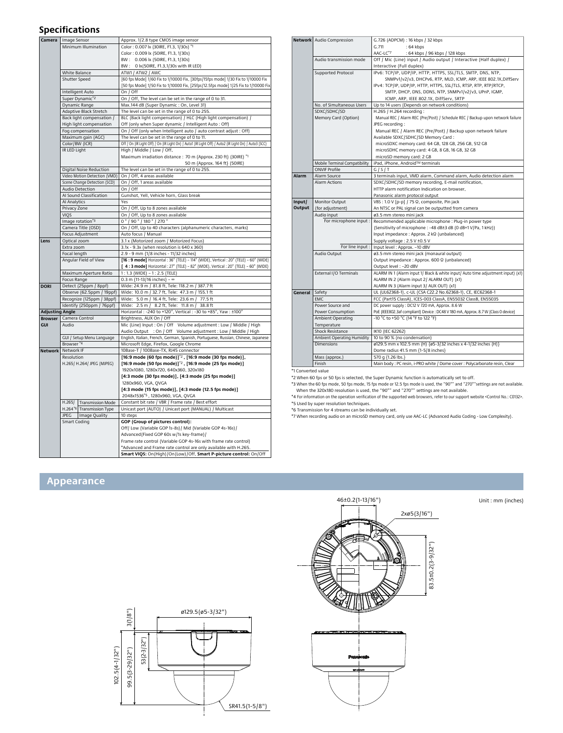### **Specifications**

| Camera<br>Image Sensor                                                                                      |                                     | Approx. 1/2.8 type CMOS image sensor                                                                  |  |  |
|-------------------------------------------------------------------------------------------------------------|-------------------------------------|-------------------------------------------------------------------------------------------------------|--|--|
| Minimum Illumination                                                                                        |                                     | Color: 0.007 lx (30IRE, F1.3, 1/30s) *1                                                               |  |  |
|                                                                                                             |                                     | Color: 0.009 lx (50IRE, F1.3, 1/30s)                                                                  |  |  |
| White Balance                                                                                               |                                     | BW: 0.006 lx (50IRE, F1.3, 1/30s)                                                                     |  |  |
|                                                                                                             |                                     | BW: 0 lx (50IRE, F1.3,1/30s with IR LED)                                                              |  |  |
|                                                                                                             |                                     | ATW1 / ATW2 / AWC                                                                                     |  |  |
|                                                                                                             | Shutter Speed                       | [60 fps Mode] 1/60 Fix to 1/10000 Fix, [30fps/15fps mode] 1/30 Fix to 1/10000 Fix                     |  |  |
|                                                                                                             |                                     |                                                                                                       |  |  |
| Intelligent Auto<br>Super Dynamic'2<br>Dynamic Range<br>Adaptive Black Stretch<br>Back light compensation / |                                     | [50 fps Mode] 1/50 Fix to 1/10000 Fix, [25fps/12.5fps mode] 1/25 Fix to 1/10000 Fix                   |  |  |
|                                                                                                             |                                     | On / Off                                                                                              |  |  |
|                                                                                                             |                                     | On / Off, The level can be set in the range of 0 to 31.                                               |  |  |
|                                                                                                             |                                     | Max.144 dB (Super Dynamic: On, Level 31)                                                              |  |  |
|                                                                                                             |                                     | The level can be set in the range of 0 to 255.                                                        |  |  |
|                                                                                                             |                                     | BLC (Back light compensation) / HLC (High light compensation) /                                       |  |  |
|                                                                                                             |                                     |                                                                                                       |  |  |
|                                                                                                             | High light compensation             | Off (only when Super dynamic / Intelligent Auto: Off)                                                 |  |  |
|                                                                                                             | Fog compensation                    | On / Off (only when Intelligent auto / auto contrast adjust : Off)                                    |  |  |
|                                                                                                             | Maximum gain (AGC)                  | The level can be set in the range of 0 to 11.                                                         |  |  |
|                                                                                                             | Color/BW (ICR)                      | Off / On (IR Light Off) / On (IR Light On) / Auto1 (IR Light Off) / Auto2 (IR Light On) / Auto3 (SCC) |  |  |
|                                                                                                             | IR LED Light                        | High / Middle / Low / Off,                                                                            |  |  |
|                                                                                                             |                                     | Maximum irradiation distance : 70 m {Approx. 230 ft} (30IRE) *1                                       |  |  |
|                                                                                                             |                                     |                                                                                                       |  |  |
|                                                                                                             |                                     | 50 m {Approx. 164 ft} (50IRE)                                                                         |  |  |
|                                                                                                             | Digital Noise Reduction             | The level can be set in the range of 0 to 255.                                                        |  |  |
|                                                                                                             | Video Motion Detection (VMD)        | On / Off, 4 areas available                                                                           |  |  |
|                                                                                                             | Scene Change Detection (SCD)        | On / Off, 1 areas available                                                                           |  |  |
|                                                                                                             | Audio Detection                     | On / Off                                                                                              |  |  |
|                                                                                                             | Al Sound Classification             | Gunshot, Yell, Vehicle horn, Glass break                                                              |  |  |
|                                                                                                             |                                     |                                                                                                       |  |  |
|                                                                                                             | Al Analytics                        | Yes                                                                                                   |  |  |
|                                                                                                             | Privacy Zone                        | On / Off, Up to 8 zones available                                                                     |  |  |
|                                                                                                             | <b>VIOS</b>                         | On / Off, Up to 8 zones available                                                                     |  |  |
|                                                                                                             | Image rotation'3                    | 0 ° / 90 ° / 180 ° / 270 °                                                                            |  |  |
|                                                                                                             | Camera Title (OSD)                  | On / Off, Up to 40 characters (alphanumeric characters, marks)                                        |  |  |
|                                                                                                             |                                     | Auto focus / Manual                                                                                   |  |  |
|                                                                                                             | Focus Adjustment                    |                                                                                                       |  |  |
| Lens                                                                                                        | Optical zoom                        | 3.1 x (Motorized zoom / Motorized Focus)                                                              |  |  |
|                                                                                                             | Extra zoom                          | 3.1x - 9.3x (when resolution is 640 x 360)                                                            |  |  |
|                                                                                                             | Focal length                        | 2.9 - 9 mm {1/8 inches - 11/32 inches}                                                                |  |  |
|                                                                                                             | Angular Field of View               | [16 : 9 mode] Horizontal : 36° (TELE) - 114° (WIDE), Vertical : 20° (TELE) - 60° (WIDE)               |  |  |
|                                                                                                             |                                     | [4:3 mode] Horizontal: 27° (TELE) - 82° (WIDE), Vertical: 20° (TELE) - 60° (WIDE)                     |  |  |
|                                                                                                             | Maximum Aperture Ratio              | 1:1.3 (WIDE) - 1:2.5 (TELE)                                                                           |  |  |
|                                                                                                             |                                     | $0.3$ m {11-13/16 inches} - $\infty$                                                                  |  |  |
|                                                                                                             | Focus Range                         |                                                                                                       |  |  |
| <b>DORI</b>                                                                                                 | Detect (25ppm / 8ppf)               | Wide: 24.9 m / 81.8 ft, Tele: 118.2 m / 387.7 ft                                                      |  |  |
|                                                                                                             | Observe (62.5ppm / 19ppf)           | Wide: 10.0 m / 32.7 ft, Tele: 47.3 m / 155.1 ft                                                       |  |  |
|                                                                                                             |                                     |                                                                                                       |  |  |
|                                                                                                             |                                     | Wide: 5.0 m / 16.4 ft, Tele: 23.6 m /<br>77.5 ft                                                      |  |  |
|                                                                                                             | Recognize (125ppm / 38ppf)          |                                                                                                       |  |  |
|                                                                                                             | Identify (250ppm / 76ppf)           | Wide: 2.5 m / 8.2 ft, Tele: 11.8 m /<br>38.8 ft                                                       |  |  |
| <b>Adjusting Angle</b>                                                                                      |                                     | Horizontal : -240 to +120°, Vertical : -30 to +85°, Yaw : ±100°                                       |  |  |
| <b>Browser</b>                                                                                              | Camera Control                      | Brightness, AUX On / Off                                                                              |  |  |
| GUI                                                                                                         | Audio                               | Mic (Line) Input: On / Off Volume adjustment: Low / Middle / High                                     |  |  |
|                                                                                                             |                                     | Audio Output : On / Off Volume adjustment : Low / Middle / High                                       |  |  |
|                                                                                                             | GUI / Setup Menu Language           | English, Italian, French, German, Spanish, Portuguese, Russian, Chinese, Japanese                     |  |  |
|                                                                                                             | Browser <sup>*4</sup>               | Microsoft Edge, Firefox, Google Chrome                                                                |  |  |
| Network                                                                                                     | Network IF                          | 10Base-T / 100Base-TX, RJ45 connector                                                                 |  |  |
|                                                                                                             |                                     |                                                                                                       |  |  |
|                                                                                                             | Resolution                          | [16:9 mode (60 fps mode)]'2, [16:9 mode (30 fps mode)],                                               |  |  |
|                                                                                                             | H.265/ H.264/ JPEG (MJPEG)          | [16:9 mode (50 fps mode)] <sup>'2</sup> , [16:9 mode (25 fps mode)]                                   |  |  |
|                                                                                                             |                                     | 1920x1080, 1280x720, 640x360, 320x180                                                                 |  |  |
|                                                                                                             |                                     | [4:3 mode (30 fps mode)], [4:3 mode (25 fps mode)]                                                    |  |  |
|                                                                                                             |                                     | 1280x960, VGA, QVGA                                                                                   |  |  |
|                                                                                                             |                                     | [4:3 mode (15 fps mode)], [4:3 mode (12.5 fps mode)]                                                  |  |  |
|                                                                                                             |                                     | 2048x1536"5, 1280x960, VGA, QVGA                                                                      |  |  |
|                                                                                                             |                                     |                                                                                                       |  |  |
|                                                                                                             | H.265/<br><b>Transmission Mode</b>  | Constant bit rate / VBR / Frame rate / Best effort                                                    |  |  |
|                                                                                                             | H.264'6<br><b>Transmission Type</b> | Unicast port (AUTO) / Unicast port (MANUAL) / Multicast                                               |  |  |
|                                                                                                             | JPEG<br>Image Quality               | 10 steps                                                                                              |  |  |
|                                                                                                             | Smart Coding                        | <b>GOP</b> (Group of pictures control):                                                               |  |  |
|                                                                                                             |                                     | Off/ Low (Variable GOP 1s-8s) / Mid (Variable GOP 4s-16s) /                                           |  |  |
|                                                                                                             |                                     | Advanced (Fixed GOP 60s w/1s key-frame) /                                                             |  |  |
|                                                                                                             |                                     | Frame rate control (Variable GOP 4s-16s with frame rate control)                                      |  |  |
|                                                                                                             |                                     | *Advanced and Frame rate control are only available with H.265.                                       |  |  |

|         | <b>Network</b> Audio Compression | G.726 (ADPCM): 16 kbps / 32 kbps                                                   |  |  |
|---------|----------------------------------|------------------------------------------------------------------------------------|--|--|
|         |                                  | G.711<br>:64 kbps                                                                  |  |  |
|         |                                  | AAC-LC <sup>*7</sup><br>: 64 kbps / 96 kbps / 128 kbps                             |  |  |
|         | Audio transmission mode          | Off / Mic (Line) input / Audio output / Interactive (Half duplex) /                |  |  |
|         |                                  | Interactive (Full duplex)                                                          |  |  |
|         | Supported Protocol               | IPv6: TCP/IP, UDP/IP, HTTP, HTTPS, SSL/TLS, SMTP, DNS, NTP,                        |  |  |
|         |                                  | SNMPv1/v2/v3, DHCPv6, RTP, MLD, ICMP, ARP, IEEE 802.1X, DiffServ                   |  |  |
|         |                                  | IPv4: TCP/IP, UDP/IP, HTTP, HTTPS, SSL/TLS, RTSP, RTP, RTP/RTCP,                   |  |  |
|         |                                  | SMTP, DHCP, DNS, DDNS, NTP, SNMPv1/v2/v3, UPnP, IGMP,                              |  |  |
|         |                                  | ICMP, ARP, IEEE 802.1X, DiffServ, SRTP                                             |  |  |
|         | No. of Simultaneous Users        | Up to 14 users (Depends on network conditions)                                     |  |  |
|         | SDXC/SDHC/SD                     | H.265 / H.264 recording:                                                           |  |  |
|         | Memory Card (Option)             | Manual REC / Alarm REC (Pre/Post) / Schedule REC / Backup upon network failure     |  |  |
|         |                                  | JPEG recording:                                                                    |  |  |
|         |                                  | Manual REC / Alarm REC (Pre/Post) / Backup upon network failure                    |  |  |
|         |                                  | Available SDXC/SDHC/SD Memory Card:                                                |  |  |
|         |                                  | microSDXC memory card: 64 GB, 128 GB, 256 GB, 512 GB                               |  |  |
|         |                                  | microSDHC memory card: 4 GB, 8 GB, 16 GB, 32 GB                                    |  |  |
|         |                                  | microSD memory card: 2 GB                                                          |  |  |
|         | Mobile Terminal Compatibility    | iPad, iPhone, Android™ terminals                                                   |  |  |
|         | <b>ONVIF Profile</b>             | G/S/T                                                                              |  |  |
| Alarm   | Alarm Source                     | 3 terminals input, VMD alarm, Command alarm, Audio detection alarm                 |  |  |
|         | <b>Alarm Actions</b>             | SDXC/SDHC/SD memory recording, E-mail notification,                                |  |  |
|         |                                  | HTTP alarm notification Indication on browser,                                     |  |  |
|         |                                  | Panasonic alarm protocol output                                                    |  |  |
| Input/  | Monitor Output                   | VBS: 1.0 V [p-p] / 75 Q, composite, Pin jack                                       |  |  |
| Output  | (for adjustment)                 | An NTSC or PAL signal can be outputted from camera                                 |  |  |
|         | Audio input                      | ø3.5 mm stereo mini jack                                                           |  |  |
|         | For microphone input:            | Recommended applicable microphone : Plug-in power type                             |  |  |
|         |                                  | (Sensitivity of microphone: -48 dB±3 dB (0 dB=1 V/Pa, 1 kHz))                      |  |  |
|         |                                  | Input impedance : Approx. 2 kQ (unbalanced)                                        |  |  |
|         |                                  | Supply voltage: 2.5 V ±0.5 V                                                       |  |  |
|         | For line input :                 | Input level : Approx. -10 dBV                                                      |  |  |
|         | Audio Output                     | ø3.5 mm stereo mini jack (monaural output)                                         |  |  |
|         |                                  | Output impedance : Approx. 600 Ω (unbalanced)                                      |  |  |
|         |                                  | Output level: - 20 dBV                                                             |  |  |
|         | External I/O Terminals           | ALARM IN 1 (Alarm input 1/ Black & white input/ Auto time adjustment input) (x1)   |  |  |
|         |                                  | ALARM IN 2 (Alarm input 2/ ALARM OUT) (x1)                                         |  |  |
|         |                                  | ALARM IN 3 (Alarm input 3/ AUX OUT) (x1)                                           |  |  |
| General | Safety                           | UL (UL62368-1), c-UL (CSA C22.2 No.62368-1), CE, IEC62368-1                        |  |  |
|         | <b>FMC</b>                       | FCC (Part15 ClassA), ICES-003 ClassA, EN55032 ClassB, EN55035                      |  |  |
|         | Power Source and                 | DC power supply: DC12 V 720 mA, Approx. 8.6 W                                      |  |  |
|         | Power Consumption                | PoE (IEEE802.3af compliant) Device : DC48 V 180 mA, Approx. 8.7 W (Class 0 device) |  |  |
|         | Ambient Operating                | -10 °C to +50 °C (14 °F to 122 °F)                                                 |  |  |
|         | Temperature                      |                                                                                    |  |  |
|         | Shock Resistance                 | IK10 (IEC 62262)                                                                   |  |  |
|         | Ambient Operating Humidity       | 10 to 90 % (no condensation)                                                       |  |  |
|         | <b>Dimensions</b>                | ø129.5 mm x 102.5 mm (H) {ø5-3/32 inches x 4-1/32 inches (H)}                      |  |  |
|         |                                  | Dome radius 41.5 mm {1-5/8 inches}                                                 |  |  |
|         | Mass (approx.)                   | 570 g {1.26 lbs.}                                                                  |  |  |
|         | Finish                           | Main body : PC resin, i-PRO white / Dome cover : Polycarbonate resin, Clear        |  |  |

\*1 Converted value

\*2 When 60 fps or 50 fps is selected, the Super Dynamic function is automatically set to off. \*3 When the 60 fps mode, 50 fps mode, 15 fps mode or 12.5 fps mode is used, the "90°" and "270°"settings are not available.

When the 320x180 resolution is used, the "90<sup>8</sup>" and "270<sup>9</sup>" settings are not available.<br>"4 for information on the operation errification of the supported web browsers, refer to our support website <Control No.: C0132><br>"5

## **Appearance**